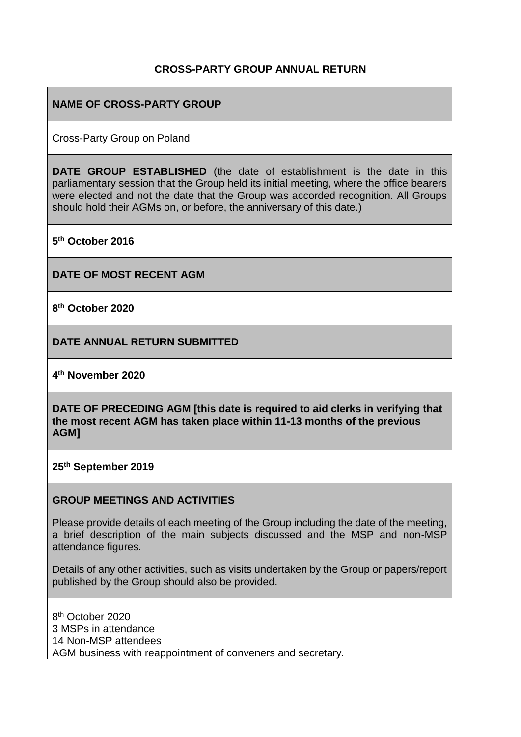#### **CROSS-PARTY GROUP ANNUAL RETURN**

#### **NAME OF CROSS-PARTY GROUP**

Cross-Party Group on Poland

**DATE GROUP ESTABLISHED** (the date of establishment is the date in this parliamentary session that the Group held its initial meeting, where the office bearers were elected and not the date that the Group was accorded recognition. All Groups should hold their AGMs on, or before, the anniversary of this date.)

**5 th October 2016**

**DATE OF MOST RECENT AGM**

**8 th October 2020**

**DATE ANNUAL RETURN SUBMITTED**

**4 th November 2020**

**DATE OF PRECEDING AGM [this date is required to aid clerks in verifying that the most recent AGM has taken place within 11-13 months of the previous AGM]**

**25th September 2019**

#### **GROUP MEETINGS AND ACTIVITIES**

Please provide details of each meeting of the Group including the date of the meeting, a brief description of the main subjects discussed and the MSP and non-MSP attendance figures.

Details of any other activities, such as visits undertaken by the Group or papers/report published by the Group should also be provided.

8 th October 2020 3 MSPs in attendance 14 Non-MSP attendees AGM business with reappointment of conveners and secretary.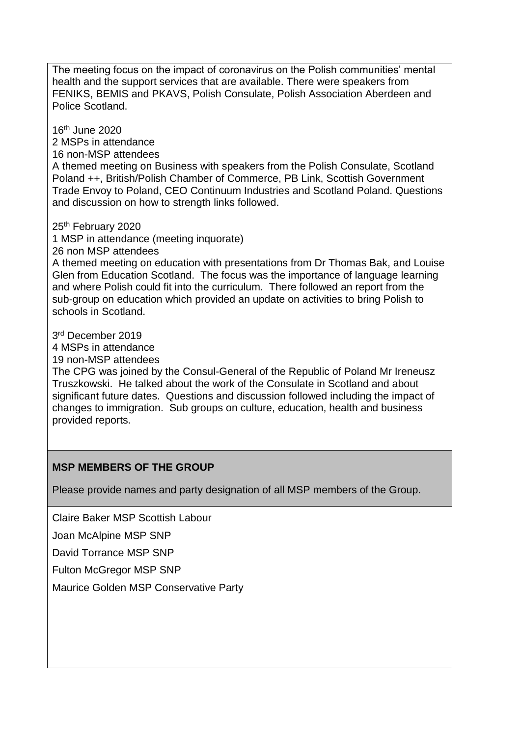The meeting focus on the impact of coronavirus on the Polish communities' mental health and the support services that are available. There were speakers from FENIKS, BEMIS and PKAVS, Polish Consulate, Polish Association Aberdeen and Police Scotland.

16th June 2020

2 MSPs in attendance

16 non-MSP attendees

A themed meeting on Business with speakers from the Polish Consulate, Scotland Poland ++, British/Polish Chamber of Commerce, PB Link, Scottish Government Trade Envoy to Poland, CEO Continuum Industries and Scotland Poland. Questions and discussion on how to strength links followed.

25<sup>th</sup> February 2020

1 MSP in attendance (meeting inquorate)

26 non MSP attendees

A themed meeting on education with presentations from Dr Thomas Bak, and Louise Glen from Education Scotland. The focus was the importance of language learning and where Polish could fit into the curriculum. There followed an report from the sub-group on education which provided an update on activities to bring Polish to schools in Scotland.

3 rd December 2019

4 MSPs in attendance

19 non-MSP attendees

The CPG was joined by the Consul-General of the Republic of Poland Mr Ireneusz Truszkowski. He talked about the work of the Consulate in Scotland and about significant future dates. Questions and discussion followed including the impact of changes to immigration. Sub groups on culture, education, health and business provided reports.

# **MSP MEMBERS OF THE GROUP**

Please provide names and party designation of all MSP members of the Group.

Claire Baker MSP Scottish Labour

Joan McAlpine MSP SNP

David Torrance MSP SNP

Fulton McGregor MSP SNP

Maurice Golden MSP Conservative Party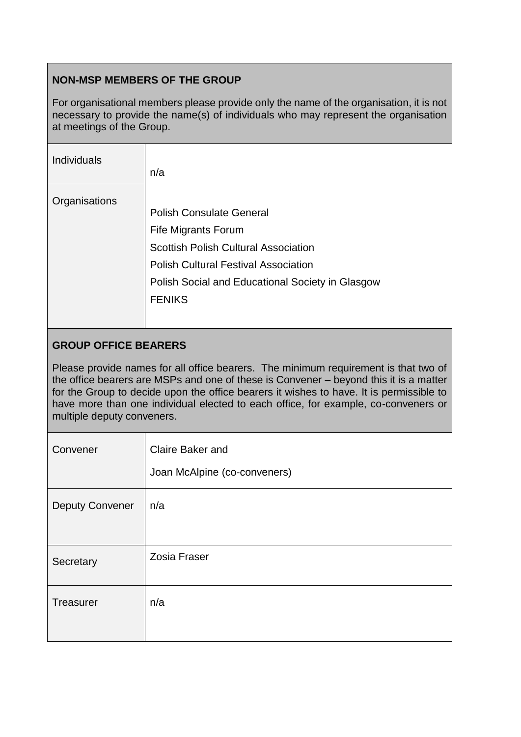# **NON-MSP MEMBERS OF THE GROUP**

For organisational members please provide only the name of the organisation, it is not necessary to provide the name(s) of individuals who may represent the organisation at meetings of the Group.

| <b>Individuals</b> | n/a                                                                                                                                                                                                                              |
|--------------------|----------------------------------------------------------------------------------------------------------------------------------------------------------------------------------------------------------------------------------|
| Organisations      | <b>Polish Consulate General</b><br><b>Fife Migrants Forum</b><br><b>Scottish Polish Cultural Association</b><br><b>Polish Cultural Festival Association</b><br>Polish Social and Educational Society in Glasgow<br><b>FENIKS</b> |

### **GROUP OFFICE BEARERS**

Please provide names for all office bearers. The minimum requirement is that two of the office bearers are MSPs and one of these is Convener – beyond this it is a matter for the Group to decide upon the office bearers it wishes to have. It is permissible to have more than one individual elected to each office, for example, co-conveners or multiple deputy conveners.

| Convener               | Claire Baker and<br>Joan McAlpine (co-conveners) |
|------------------------|--------------------------------------------------|
| <b>Deputy Convener</b> | n/a                                              |
| Secretary              | Zosia Fraser                                     |
| Treasurer              | n/a                                              |